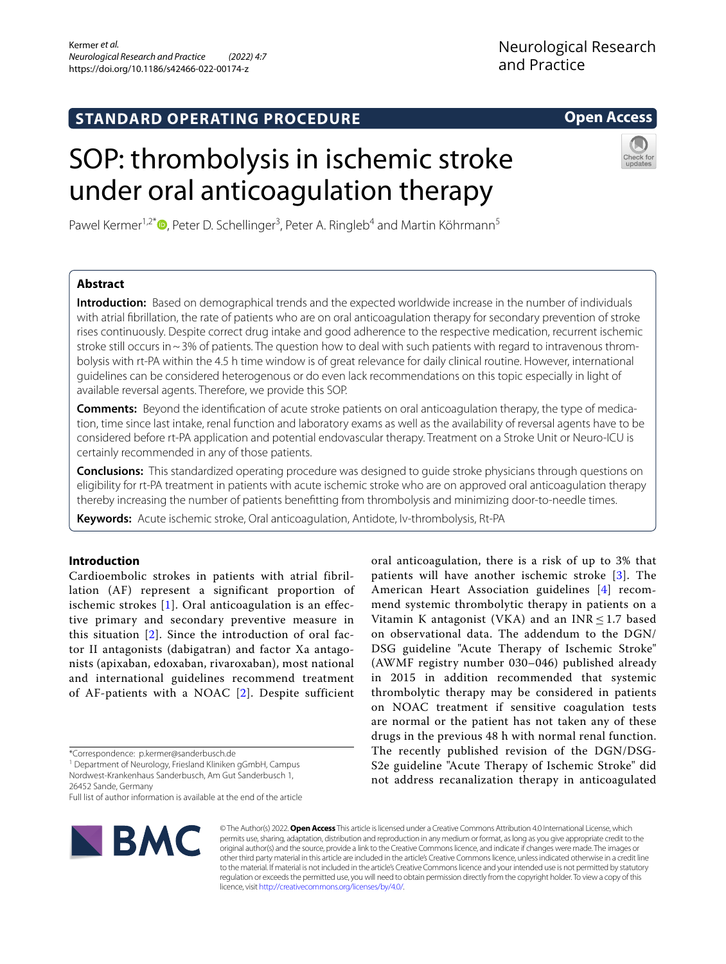# **STANDARD OPERATING PROCEDURE**

# **Open Access**



Pawel Kermer<sup>1[,](http://orcid.org/0000-0001-5933-0985)2\*</sup><sup>®</sup>, Peter D. Schellinger<sup>3</sup>, Peter A. Ringleb<sup>4</sup> and Martin Köhrmann<sup>5</sup>

under oral anticoagulation therapy

SOP: thrombolysis in ischemic stroke

# **Abstract**

**Introduction:** Based on demographical trends and the expected worldwide increase in the number of individuals with atrial fbrillation, the rate of patients who are on oral anticoagulation therapy for secondary prevention of stroke rises continuously. Despite correct drug intake and good adherence to the respective medication, recurrent ischemic stroke still occurs in  $\sim$  3% of patients. The question how to deal with such patients with regard to intravenous thrombolysis with rt-PA within the 4.5 h time window is of great relevance for daily clinical routine. However, international guidelines can be considered heterogenous or do even lack recommendations on this topic especially in light of available reversal agents. Therefore, we provide this SOP.

**Comments:** Beyond the identifcation of acute stroke patients on oral anticoagulation therapy, the type of medication, time since last intake, renal function and laboratory exams as well as the availability of reversal agents have to be considered before rt-PA application and potential endovascular therapy. Treatment on a Stroke Unit or Neuro-ICU is certainly recommended in any of those patients.

**Conclusions:** This standardized operating procedure was designed to guide stroke physicians through questions on eligibility for rt-PA treatment in patients with acute ischemic stroke who are on approved oral anticoagulation therapy thereby increasing the number of patients beneftting from thrombolysis and minimizing door-to-needle times.

**Keywords:** Acute ischemic stroke, Oral anticoagulation, Antidote, Iv-thrombolysis, Rt-PA

# **Introduction**

Cardioembolic strokes in patients with atrial fibrillation (AF) represent a significant proportion of ischemic strokes [\[1\]](#page-4-0). Oral anticoagulation is an effective primary and secondary preventive measure in this situation [[2](#page-4-1)]. Since the introduction of oral factor II antagonists (dabigatran) and factor Xa antagonists (apixaban, edoxaban, rivaroxaban), most national and international guidelines recommend treatment of AF-patients with a NOAC [[2](#page-4-1)]. Despite sufficient

<sup>1</sup> Department of Neurology, Friesland Kliniken gGmbH, Campus Nordwest-Krankenhaus Sanderbusch, Am Gut Sanderbusch 1,

26452 Sande, Germany

Full list of author information is available at the end of the article



© The Author(s) 2022. **Open Access** This article is licensed under a Creative Commons Attribution 4.0 International License, which permits use, sharing, adaptation, distribution and reproduction in any medium or format, as long as you give appropriate credit to the original author(s) and the source, provide a link to the Creative Commons licence, and indicate if changes were made. The images or other third party material in this article are included in the article's Creative Commons licence, unless indicated otherwise in a credit line to the material. If material is not included in the article's Creative Commons licence and your intended use is not permitted by statutory regulation or exceeds the permitted use, you will need to obtain permission directly from the copyright holder. To view a copy of this licence, visit [http://creativecommons.org/licenses/by/4.0/.](http://creativecommons.org/licenses/by/4.0/)

oral anticoagulation, there is a risk of up to 3% that patients will have another ischemic stroke [[3\]](#page-4-2). The American Heart Association guidelines [\[4](#page-4-3)] recommend systemic thrombolytic therapy in patients on a Vitamin K antagonist (VKA) and an  $INR < 1.7$  based on observational data. The addendum to the DGN/ DSG guideline "Acute Therapy of Ischemic Stroke" (AWMF registry number 030–046) published already in 2015 in addition recommended that systemic thrombolytic therapy may be considered in patients on NOAC treatment if sensitive coagulation tests are normal or the patient has not taken any of these drugs in the previous 48 h with normal renal function. The recently published revision of the DGN/DSG-S2e guideline "Acute Therapy of Ischemic Stroke" did not address recanalization therapy in anticoagulated

<sup>\*</sup>Correspondence: p.kermer@sanderbusch.de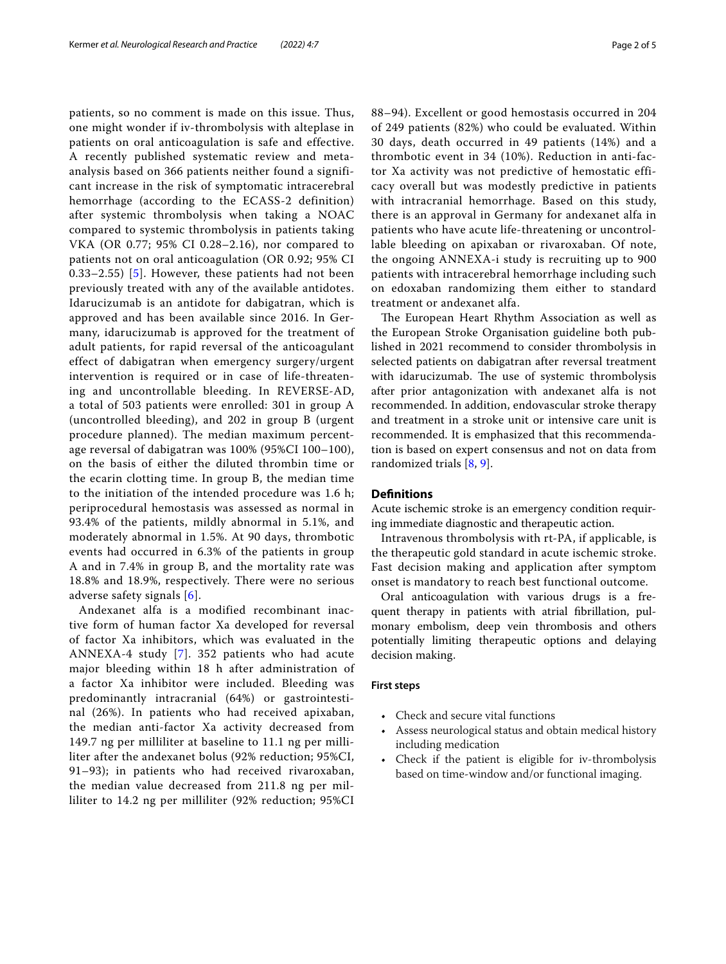patients, so no comment is made on this issue. Thus, one might wonder if iv-thrombolysis with alteplase in patients on oral anticoagulation is safe and effective. A recently published systematic review and metaanalysis based on 366 patients neither found a significant increase in the risk of symptomatic intracerebral hemorrhage (according to the ECASS-2 definition) after systemic thrombolysis when taking a NOAC compared to systemic thrombolysis in patients taking VKA (OR 0.77; 95% CI 0.28–2.16), nor compared to patients not on oral anticoagulation (OR 0.92; 95% CI 0.33–2.55) [\[5](#page-4-4)]. However, these patients had not been previously treated with any of the available antidotes. Idarucizumab is an antidote for dabigatran, which is approved and has been available since 2016. In Germany, idarucizumab is approved for the treatment of adult patients, for rapid reversal of the anticoagulant effect of dabigatran when emergency surgery/urgent intervention is required or in case of life-threatening and uncontrollable bleeding. In REVERSE-AD, a total of 503 patients were enrolled: 301 in group A (uncontrolled bleeding), and 202 in group B (urgent procedure planned). The median maximum percentage reversal of dabigatran was 100% (95%CI 100–100), on the basis of either the diluted thrombin time or the ecarin clotting time. In group B, the median time to the initiation of the intended procedure was 1.6 h; periprocedural hemostasis was assessed as normal in 93.4% of the patients, mildly abnormal in 5.1%, and moderately abnormal in 1.5%. At 90 days, thrombotic events had occurred in 6.3% of the patients in group A and in 7.4% in group B, and the mortality rate was 18.8% and 18.9%, respectively. There were no serious adverse safety signals [[6](#page-4-5)].

Andexanet alfa is a modified recombinant inactive form of human factor Xa developed for reversal of factor Xa inhibitors, which was evaluated in the ANNEXA-4 study [[7](#page-4-6)]. 352 patients who had acute major bleeding within 18 h after administration of a factor Xa inhibitor were included. Bleeding was predominantly intracranial (64%) or gastrointestinal (26%). In patients who had received apixaban, the median anti-factor Xa activity decreased from 149.7 ng per milliliter at baseline to 11.1 ng per milliliter after the andexanet bolus (92% reduction; 95%CI, 91–93); in patients who had received rivaroxaban, the median value decreased from 211.8 ng per milliliter to 14.2 ng per milliliter (92% reduction; 95%CI 88–94). Excellent or good hemostasis occurred in 204 of 249 patients (82%) who could be evaluated. Within 30 days, death occurred in 49 patients (14%) and a thrombotic event in 34 (10%). Reduction in anti-factor Xa activity was not predictive of hemostatic efficacy overall but was modestly predictive in patients with intracranial hemorrhage. Based on this study, there is an approval in Germany for andexanet alfa in patients who have acute life-threatening or uncontrollable bleeding on apixaban or rivaroxaban. Of note, the ongoing ANNEXA-i study is recruiting up to 900 patients with intracerebral hemorrhage including such on edoxaban randomizing them either to standard treatment or andexanet alfa.

The European Heart Rhythm Association as well as the European Stroke Organisation guideline both published in 2021 recommend to consider thrombolysis in selected patients on dabigatran after reversal treatment with idarucizumab. The use of systemic thrombolysis after prior antagonization with andexanet alfa is not recommended. In addition, endovascular stroke therapy and treatment in a stroke unit or intensive care unit is recommended. It is emphasized that this recommendation is based on expert consensus and not on data from randomized trials [\[8](#page-4-7), [9](#page-4-8)].

# **Defnitions**

Acute ischemic stroke is an emergency condition requiring immediate diagnostic and therapeutic action.

Intravenous thrombolysis with rt-PA, if applicable, is the therapeutic gold standard in acute ischemic stroke. Fast decision making and application after symptom onset is mandatory to reach best functional outcome.

Oral anticoagulation with various drugs is a frequent therapy in patients with atrial fbrillation, pulmonary embolism, deep vein thrombosis and others potentially limiting therapeutic options and delaying decision making.

# **First steps**

- Check and secure vital functions
- Assess neurological status and obtain medical history including medication
- Check if the patient is eligible for iv-thrombolysis based on time-window and/or functional imaging.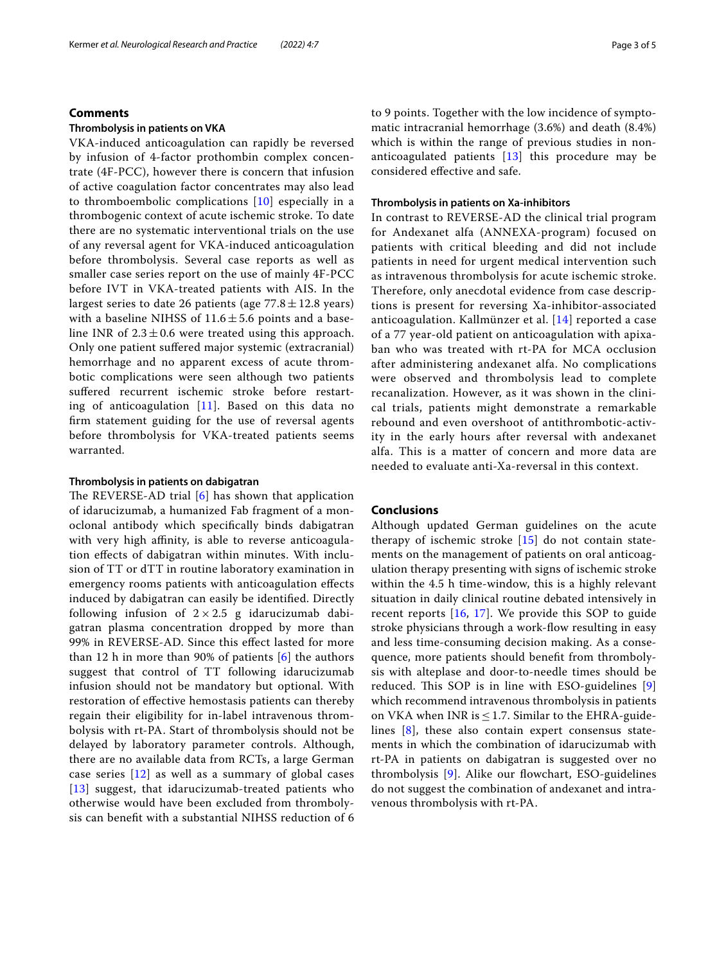# Kermer *et al. Neurological Research and Practice (2022) 4:7* Page 3 of 5

# **Comments**

# **Thrombolysis in patients on VKA**

VKA-induced anticoagulation can rapidly be reversed by infusion of 4-factor prothombin complex concentrate (4F-PCC), however there is concern that infusion of active coagulation factor concentrates may also lead to thromboembolic complications [[10](#page-4-9)] especially in a thrombogenic context of acute ischemic stroke. To date there are no systematic interventional trials on the use of any reversal agent for VKA-induced anticoagulation before thrombolysis. Several case reports as well as smaller case series report on the use of mainly 4F-PCC before IVT in VKA-treated patients with AIS. In the largest series to date 26 patients (age  $77.8 \pm 12.8$  years) with a baseline NIHSS of  $11.6 \pm 5.6$  points and a baseline INR of  $2.3 \pm 0.6$  were treated using this approach. Only one patient sufered major systemic (extracranial) hemorrhage and no apparent excess of acute thrombotic complications were seen although two patients suffered recurrent ischemic stroke before restarting of anticoagulation [[11\]](#page-4-10). Based on this data no frm statement guiding for the use of reversal agents before thrombolysis for VKA-treated patients seems warranted.

# **Thrombolysis in patients on dabigatran**

The REVERSE-AD trial  $[6]$  $[6]$  has shown that application of idarucizumab, a humanized Fab fragment of a monoclonal antibody which specifcally binds dabigatran with very high affinity, is able to reverse anticoagulation efects of dabigatran within minutes. With inclusion of TT or dTT in routine laboratory examination in emergency rooms patients with anticoagulation efects induced by dabigatran can easily be identifed. Directly following infusion of  $2 \times 2.5$  g idarucizumab dabigatran plasma concentration dropped by more than 99% in REVERSE-AD. Since this efect lasted for more than 12 h in more than 90% of patients  $[6]$  $[6]$  the authors suggest that control of TT following idarucizumab infusion should not be mandatory but optional. With restoration of efective hemostasis patients can thereby regain their eligibility for in-label intravenous thrombolysis with rt-PA. Start of thrombolysis should not be delayed by laboratory parameter controls. Although, there are no available data from RCTs, a large German case series  $\lceil 12 \rceil$  $\lceil 12 \rceil$  $\lceil 12 \rceil$  as well as a summary of global cases [[13](#page-4-12)] suggest, that idarucizumab-treated patients who otherwise would have been excluded from thrombolysis can beneft with a substantial NIHSS reduction of 6 to 9 points. Together with the low incidence of symptomatic intracranial hemorrhage (3.6%) and death (8.4%) which is within the range of previous studies in nonanticoagulated patients  $[13]$  this procedure may be considered efective and safe.

# **Thrombolysis in patients on Xa‑inhibitors**

In contrast to REVERSE-AD the clinical trial program for Andexanet alfa (ANNEXA-program) focused on patients with critical bleeding and did not include patients in need for urgent medical intervention such as intravenous thrombolysis for acute ischemic stroke. Therefore, only anecdotal evidence from case descriptions is present for reversing Xa-inhibitor-associated anticoagulation. Kallmünzer et al. [\[14\]](#page-4-13) reported a case of a 77 year-old patient on anticoagulation with apixaban who was treated with rt-PA for MCA occlusion after administering andexanet alfa. No complications were observed and thrombolysis lead to complete recanalization. However, as it was shown in the clinical trials, patients might demonstrate a remarkable rebound and even overshoot of antithrombotic-activity in the early hours after reversal with andexanet alfa. This is a matter of concern and more data are needed to evaluate anti-Xa-reversal in this context.

# **Conclusions**

Although updated German guidelines on the acute therapy of ischemic stroke  $[15]$  $[15]$  do not contain statements on the management of patients on oral anticoagulation therapy presenting with signs of ischemic stroke within the 4.5 h time-window, this is a highly relevant situation in daily clinical routine debated intensively in recent reports [[16,](#page-4-15) [17\]](#page-4-16). We provide this SOP to guide stroke physicians through a work-fow resulting in easy and less time-consuming decision making. As a consequence, more patients should beneft from thrombolysis with alteplase and door-to-needle times should be reduced. This SOP is in line with ESO-guidelines  $[9]$  $[9]$ which recommend intravenous thrombolysis in patients on VKA when INR is  $\leq$  1.7. Similar to the EHRA-guidelines [[8\]](#page-4-7), these also contain expert consensus statements in which the combination of idarucizumab with rt-PA in patients on dabigatran is suggested over no thrombolysis  $[9]$  $[9]$ . Alike our flowchart, ESO-guidelines do not suggest the combination of andexanet and intravenous thrombolysis with rt-PA.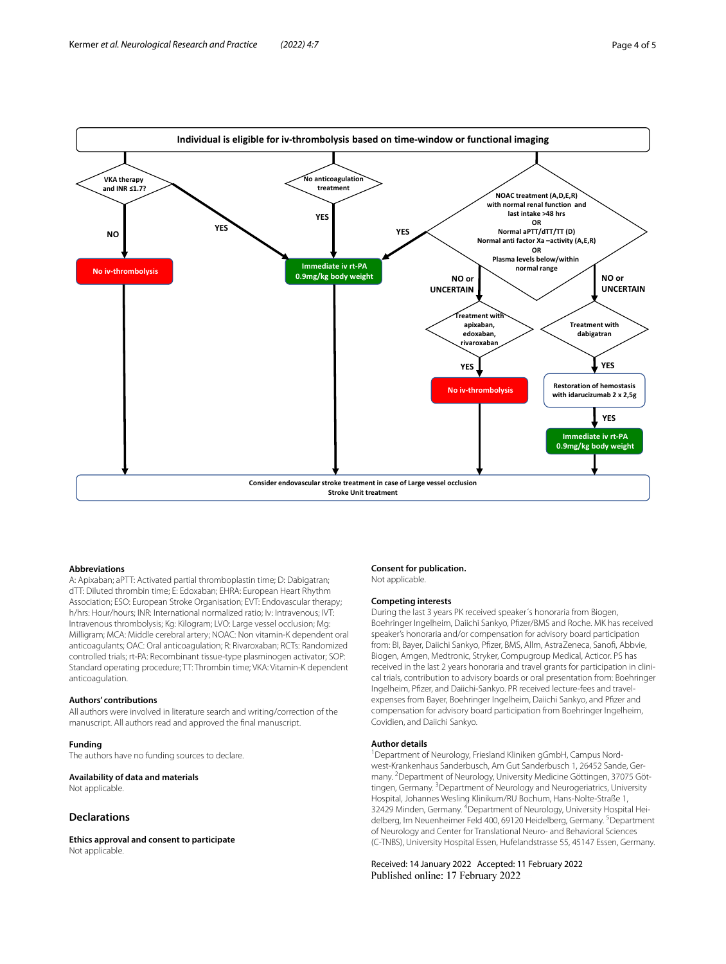

#### **Abbreviations**

A: Apixaban; aPTT: Activated partial thromboplastin time; D: Dabigatran; dTT: Diluted thrombin time; E: Edoxaban; EHRA: European Heart Rhythm Association; ESO: European Stroke Organisation; EVT: Endovascular therapy; h/hrs: Hour/hours; INR: International normalized ratio; Iv: Intravenous; IVT: Intravenous thrombolysis; Kg: Kilogram; LVO: Large vessel occlusion; Mg: Milligram; MCA: Middle cerebral artery; NOAC: Non vitamin-K dependent oral anticoagulants; OAC: Oral anticoagulation; R: Rivaroxaban; RCTs: Randomized controlled trials; rt-PA: Recombinant tissue-type plasminogen activator; SOP: Standard operating procedure; TT: Thrombin time; VKA: Vitamin-K dependent anticoagulation.

#### **Authors' contributions**

All authors were involved in literature search and writing/correction of the manuscript. All authors read and approved the fnal manuscript.

#### **Funding**

The authors have no funding sources to declare.

## **Availability of data and materials**

Not applicable

# **Declarations**

**Ethics approval and consent to participate** Not applicable.

#### **Consent for publication.** Not applicable.

#### **Competing interests**

During the last 3 years PK received speaker´s honoraria from Biogen, Boehringer Ingelheim, Daiichi Sankyo, Pfzer/BMS and Roche. MK has received speaker's honoraria and/or compensation for advisory board participation from: BI, Bayer, Daiichi Sankyo, Pfzer, BMS, Allm, AstraZeneca, Sanof, Abbvie, Biogen, Amgen, Medtronic, Stryker, Compugroup Medical, Acticor. PS has received in the last 2 years honoraria and travel grants for participation in clinical trials, contribution to advisory boards or oral presentation from: Boehringer Ingelheim, Pfizer, and Daiichi-Sankyo. PR received lecture-fees and travelexpenses from Bayer, Boehringer Ingelheim, Daiichi Sankyo, and Pfizer and compensation for advisory board participation from Boehringer Ingelheim, Covidien, and Daiichi Sankyo.

## **Author details**

<sup>1</sup> Department of Neurology, Friesland Kliniken gGmbH, Campus Nordwest-Krankenhaus Sanderbusch, Am Gut Sanderbusch 1, 26452 Sande, Germany. <sup>2</sup> Department of Neurology, University Medicine Göttingen, 37075 Göttingen, Germany.<sup>3</sup> Department of Neurology and Neurogeriatrics, University Hospital, Johannes Wesling Klinikum/RU Bochum, Hans-Nolte-Straße 1, 32429 Minden, Germany. 4 Department of Neurology, University Hospital Heidelberg, Im Neuenheimer Feld 400, 69120 Heidelberg, Germany. <sup>5</sup>Department of Neurology and Center for Translational Neuro- and Behavioral Sciences (C-TNBS), University Hospital Essen, Hufelandstrasse 55, 45147 Essen, Germany.

# Received: 14 January 2022 Accepted: 11 February 2022 Published online: 17 February 2022